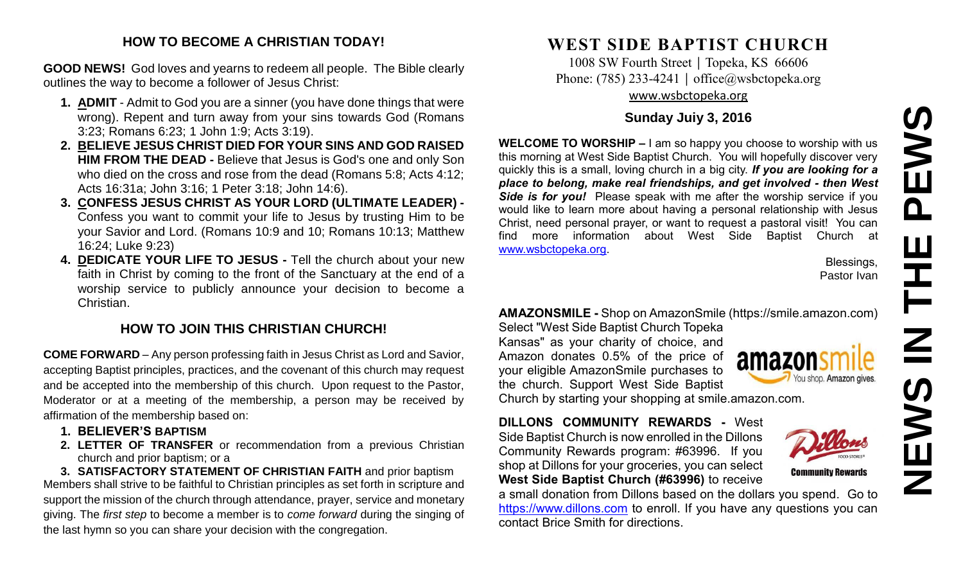# **NEWS IN THE PEWS**PEWS 존  $\overline{\mathbf{Z}}$ **NEW**

#### **HOW TO BECOME A CHRISTIAN TODAY!**

**GOOD NEWS!** God loves and yearns to redeem all people. The Bible clearly outlines the way to become a follower of Jesus Christ:

- **1. ADMIT** Admit to God you are a sinner (you have done things that were wrong). Repent and turn away from your sins towards God (Romans 3:23; Romans 6:23; 1 John 1:9; Acts 3:19).
- **2. BELIEVE JESUS CHRIST DIED FOR YOUR SINS AND GOD RAISED HIM FROM THE DEAD -** Believe that Jesus is God's one and only Son who died on the cross and rose from the dead (Romans 5:8; Acts 4:12; Acts 16:31a; John 3:16; 1 Peter 3:18; John 14:6).
- **3. CONFESS JESUS CHRIST AS YOUR LORD (ULTIMATE LEADER) -** Confess you want to commit your life to Jesus by trusting Him to be your Savior and Lord. (Romans 10:9 and 10; Romans 10:13; Matthew 16:24; Luke 9:23)
- **4. DEDICATE YOUR LIFE TO JESUS -** Tell the church about your new faith in Christ by coming to the front of the Sanctuary at the end of a worship service to publicly announce your decision to become a Christian.

#### **HOW TO JOIN THIS CHRISTIAN CHURCH!**

**COME FORWARD** – Any person professing faith in Jesus Christ as Lord and Savior, accepting Baptist principles, practices, and the covenant of this church may request and be accepted into the membership of this church. Upon request to the Pastor, Moderator or at a meeting of the membership, a person may be received by affirmation of the membership based on:

- **1. BELIEVER'S BAPTISM**
- **2. LETTER OF TRANSFER** or recommendation from a previous Christian church and prior baptism; or a

**3. SATISFACTORY STATEMENT OF CHRISTIAN FAITH** and prior baptism Members shall strive to be faithful to Christian principles as set forth in scripture and support the mission of the church through attendance, prayer, service and monetary giving. The *first step* to become a member is to *come forward* during the singing of the last hymn so you can share your decision with the congregation.

## **WEST SIDE BAPTIST CHURCH**

1008 SW Fourth Street | Topeka, KS 66606 Phone: (785) 233-4241 │ [office@wsbctopeka.org](mailto:office@wsbctopeka.org) [www.wsbctopeka.org](http://www.wsbctopeka.org/)

#### **Sunday Juiy 3, 2016**

**WELCOME TO WORSHIP –** I am so happy you choose to worship with us this morning at West Side Baptist Church. You will hopefully discover very quickly this is a small, loving church in a big city. *If you are looking for a place to belong, make real friendships, and get involved - then West Side is for you!* Please speak with me after the worship service if you would like to learn more about having a personal relationship with Jesus Christ, need personal prayer, or want to request a pastoral visit! You can find more information about West Side Baptist Church at [www.wsbctopeka.org.](http://www.wsbctopeka.org/)

> Blessings, Pastor Ivan

#### **AMAZONSMILE -** Shop on AmazonSmile (https://smile.amazon.com)

Select "West Side Baptist Church Topeka Kansas" as your charity of choice, and Amazon donates 0.5% of the price of your eligible AmazonSmile purchases to the church. Support West Side Baptist Church by starting your shopping at smile.amazon.com.



**Community Rewards** 

**DILLONS COMMUNITY REWARDS -** West Side Baptist Church is now enrolled in the Dillons Community Rewards program: #63996. If you shop at Dillons for your groceries, you can select **West Side Baptist Church (#63996)** to receive

a small donation from Dillons based on the dollars you spend. Go to [https://www.dillons.com](https://www.dillons.com/) to enroll. If you have any questions you can contact Brice Smith for directions.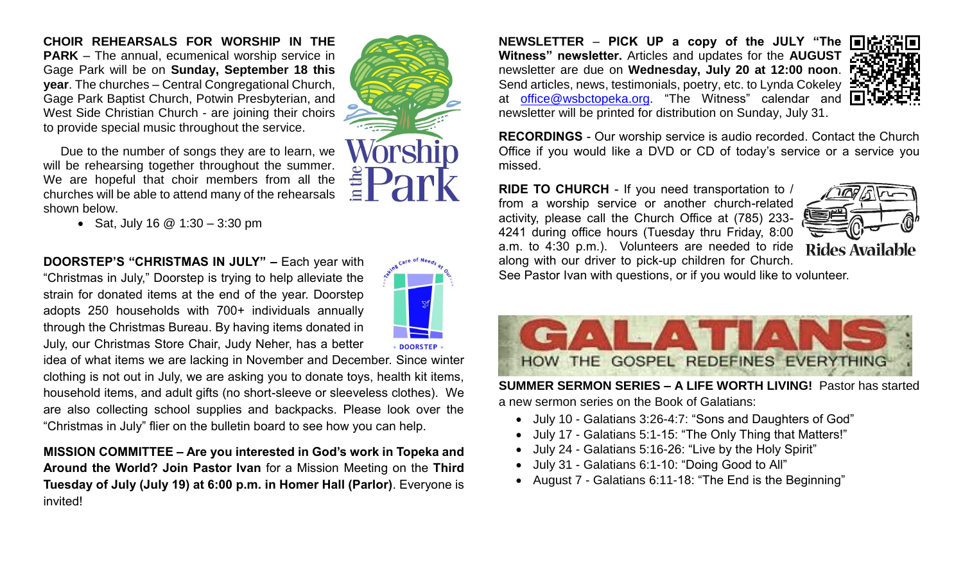**CHOIR REHEARSALS FOR WORSHIP IN THE PARK** – The annual, ecumenical worship service in Gage Park will be on **Sunday, September 18 this year**. The churches – Central Congregational Church, Gage Park Baptist Church, Potwin Presbyterian, and West Side Christian Church - are joining their choirs to provide special music throughout the service.

Due to the number of songs they are to learn, we will be rehearsing together throughout the summer. We are hopeful that choir members from all the churches will be able to attend many of the rehearsals shown below.

• Sat, July 16  $@$  1:30 – 3:30 pm

**DOORSTEP'S "CHRISTMAS IN JULY" –** Each year with "Christmas in July," Doorstep is trying to help alleviate the strain for donated items at the end of the year. Doorstep adopts 250 households with 700+ individuals annually through the Christmas Bureau. By having items donated in July, our Christmas Store Chair, Judy Neher, has a better

idea of what items we are lacking in November and December. Since winter clothing is not out in July, we are asking you to donate toys, health kit items, household items, and adult gifts (no short-sleeve or sleeveless clothes). We are also collecting school supplies and backpacks. Please look over the "Christmas in July" flier on the bulletin board to see how you can help.

**MISSION COMMITTEE – Are you interested in God's work in Topeka and Around the World? Join Pastor Ivan** for a Mission Meeting on the **Third Tuesday of July (July 19) at 6:00 p.m. in Homer Hall (Parlor)**. Everyone is invited!

**NEWSLETTER** – **PICK UP a copy of the JULY "The Witness" newsletter.** Articles and updates for the **AUGUST**  newsletter are due on **Wednesday, July 20 at 12:00 noon**. Send articles, news, testimonials, poetry, etc. to Lynda Cokeley : at [office@wsbctopeka.org.](mailto:office@wsbctopeka.org) "The Witness" calendar and newsletter will be printed for distribution on Sunday, July 31.



**RECORDINGS** - Our worship service is audio recorded. Contact the Church Office if you would like a DVD or CD of today's service or a service you missed.

**RIDE TO CHURCH** - If you need transportation to / from a worship service or another church-related activity, please call the Church Office at (785) 233- 4241 during office hours (Tuesday thru Friday, 8:00 a.m. to 4:30 p.m.). Volunteers are needed to ride along with our driver to pick-up children for Church.



See Pastor Ivan with questions, or if you would like to volunteer.



**SUMMER SERMON SERIES – A LIFE WORTH LIVING!** Pastor has started a new sermon series on the Book of Galatians:

- July 10 Galatians 3:26-4:7: "Sons and Daughters of God"
- July 17 Galatians 5:1-15: "The Only Thing that Matters!"
- July 24 Galatians 5:16-26: "Live by the Holy Spirit"
- July 31 Galatians 6:1-10: "Doing Good to All"
- August 7 Galatians 6:11-18: "The End is the Beginning"

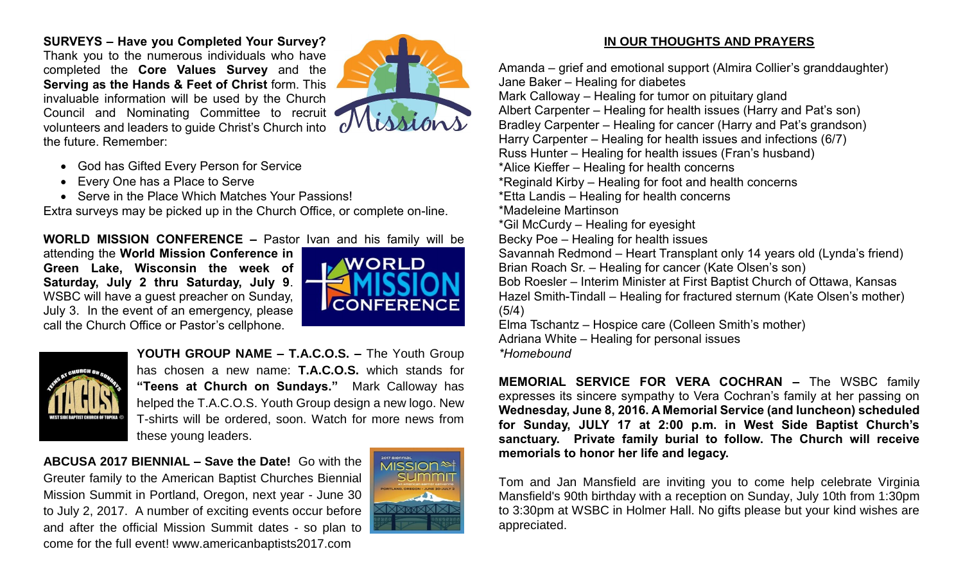**SURVEYS – Have you Completed Your Survey?**  Thank you to the numerous individuals who have completed the **Core Values Survey** and the **Serving as the Hands & Feet of Christ** form. This invaluable information will be used by the Church Council and Nominating Committee to recruit volunteers and leaders to guide Christ's Church into the future. Remember:



- God has Gifted Every Person for Service
- Every One has a Place to Serve
- Serve in the Place Which Matches Your Passions!

Extra surveys may be picked up in the Church Office, or complete on-line.

**WORLD MISSION CONFERENCE –** Pastor Ivan and his family will be attending the **World Mission Conference in Green Lake, Wisconsin the week of Saturday, July 2 thru Saturday, July 9**. WSBC will have a guest preacher on Sunday, July 3. In the event of an emergency, please call the Church Office or Pastor's cellphone.





**YOUTH GROUP NAME – T.A.C.O.S. –** The Youth Group has chosen a new name: **T.A.C.O.S.** which stands for **"Teens at Church on Sundays."** Mark Calloway has helped the T.A.C.O.S. Youth Group design a new logo. New T-shirts will be ordered, soon. Watch for more news from these young leaders.

**ABCUSA 2017 BIENNIAL – Save the Date!** Go with the Greuter family to the American Baptist Churches Biennial Mission Summit in Portland, Oregon, next year - June 30 to July 2, 2017. A number of exciting events occur before and after the official Mission Summit dates - so plan to come for the full event! www.americanbaptists2017.com



#### **IN OUR THOUGHTS AND PRAYERS**

Amanda – grief and emotional support (Almira Collier's granddaughter) Jane Baker – Healing for diabetes Mark Calloway – Healing for tumor on pituitary gland Albert Carpenter – Healing for health issues (Harry and Pat's son) Bradley Carpenter – Healing for cancer (Harry and Pat's grandson) Harry Carpenter – Healing for health issues and infections (6/7) Russ Hunter – Healing for health issues (Fran's husband) \*Alice Kieffer – Healing for health concerns \*Reginald Kirby – Healing for foot and health concerns \*Etta Landis – Healing for health concerns \*Madeleine Martinson \*Gil McCurdy – Healing for eyesight Becky Poe – Healing for health issues Savannah Redmond – Heart Transplant only 14 years old (Lynda's friend) Brian Roach Sr. – Healing for cancer (Kate Olsen's son) Bob Roesler – Interim Minister at First Baptist Church of Ottawa, Kansas Hazel Smith-Tindall – Healing for fractured sternum (Kate Olsen's mother) (5/4) Elma Tschantz – Hospice care (Colleen Smith's mother) Adriana White – Healing for personal issues *\*Homebound*

**MEMORIAL SERVICE FOR VERA COCHRAN –** The WSBC family expresses its sincere sympathy to Vera Cochran's family at her passing on **Wednesday, June 8, 2016. A Memorial Service (and luncheon) scheduled for Sunday, JULY 17 at 2:00 p.m. in West Side Baptist Church's sanctuary. Private family burial to follow. The Church will receive memorials to honor her life and legacy.** 

Tom and Jan Mansfield are inviting you to come help celebrate Virginia Mansfield's 90th birthday with a reception on Sunday, July 10th from 1:30pm to 3:30pm at WSBC in Holmer Hall. No gifts please but your kind wishes are appreciated.